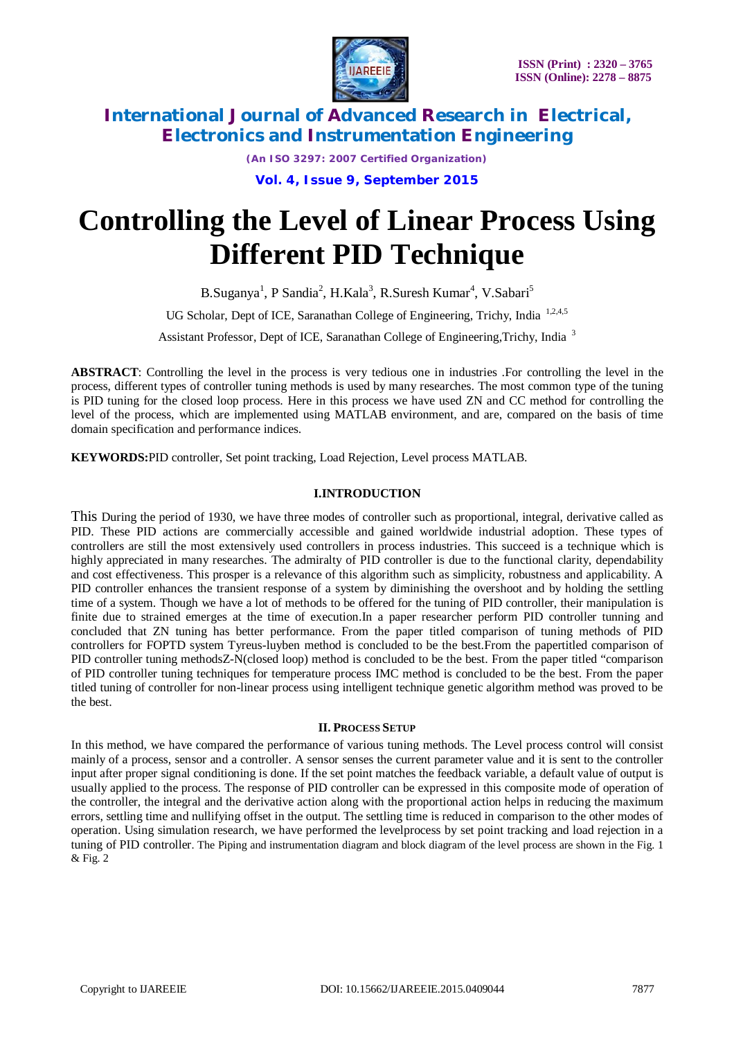

*(An ISO 3297: 2007 Certified Organization)* **Vol. 4, Issue 9, September 2015**

# **Controlling the Level of Linear Process Using Different PID Technique**

B.Suganya<sup>1</sup>, P Sandia<sup>2</sup>, H.Kala<sup>3</sup>, R.Suresh Kumar<sup>4</sup>, V.Sabari<sup>5</sup>

UG Scholar, Dept of ICE, Saranathan College of Engineering, Trichy. India 1,2,4,5

Assistant Professor, Dept of ICE, Saranathan College of Engineering,Trichy, India <sup>3</sup>

**ABSTRACT**: Controlling the level in the process is very tedious one in industries .For controlling the level in the process, different types of controller tuning methods is used by many researches. The most common type of the tuning is PID tuning for the closed loop process. Here in this process we have used ZN and CC method for controlling the level of the process, which are implemented using MATLAB environment, and are, compared on the basis of time domain specification and performance indices.

**KEYWORDS:**PID controller, Set point tracking, Load Rejection, Level process MATLAB.

### **I.INTRODUCTION**

This During the period of 1930, we have three modes of controller such as proportional, integral, derivative called as PID. These PID actions are commercially accessible and gained worldwide industrial adoption. These types of controllers are still the most extensively used controllers in process industries. This succeed is a technique which is highly appreciated in many researches. The admiralty of PID controller is due to the functional clarity, dependability and cost effectiveness. This prosper is a relevance of this algorithm such as simplicity, robustness and applicability. A PID controller enhances the transient response of a system by diminishing the overshoot and by holding the settling time of a system. Though we have a lot of methods to be offered for the tuning of PID controller, their manipulation is finite due to strained emerges at the time of execution.In a paper researcher perform PID controller tunning and concluded that ZN tuning has better performance. From the paper titled comparison of tuning methods of PID controllers for FOPTD system Tyreus-luyben method is concluded to be the best.From the papertitled comparison of PID controller tuning methodsZ-N(closed loop) method is concluded to be the best. From the paper titled "comparison of PID controller tuning techniques for temperature process IMC method is concluded to be the best. From the paper titled tuning of controller for non-linear process using intelligent technique genetic algorithm method was proved to be the best.

### **II. PROCESS SETUP**

In this method, we have compared the performance of various tuning methods. The Level process control will consist mainly of a process, sensor and a controller. A sensor senses the current parameter value and it is sent to the controller input after proper signal conditioning is done. If the set point matches the feedback variable, a default value of output is usually applied to the process. The response of PID controller can be expressed in this composite mode of operation of the controller, the integral and the derivative action along with the proportional action helps in reducing the maximum errors, settling time and nullifying offset in the output. The settling time is reduced in comparison to the other modes of operation. Using simulation research, we have performed the levelprocess by set point tracking and load rejection in a tuning of PID controller. The Piping and instrumentation diagram and block diagram of the level process are shown in the Fig. 1 & Fig. 2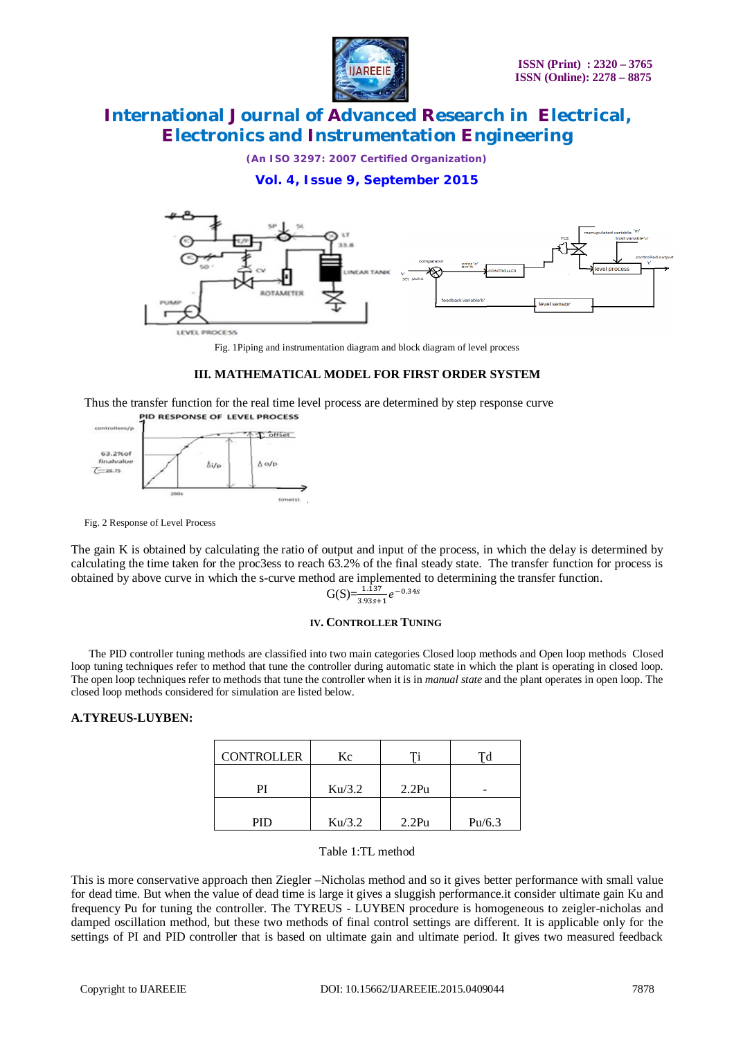

*(An ISO 3297: 2007 Certified Organization)*

### **Vol. 4, Issue 9, September 2015**



Fig. 1Piping and instrumentation diagram and block diagram of level process

### **III. MATHEMATICAL MODEL FOR FIRST ORDER SYSTEM**

Thus the transfer function for the real time level process are determined by step response curve<br>PROCESS



Fig. 2 Response of Level Process

The gain K is obtained by calculating the ratio of output and input of the process, in which the delay is determined by calculating the time taken for the proc3ess to reach 63.2% of the final steady state. The transfer function for process is obtained by above curve in which the s-curve method are implemented to determining the transfer function.

$$
G(S) = \frac{1.137}{3.93s+1} e^{-0.34s}
$$

#### **IV. CONTROLLER TUNING**

The PID controller tuning methods are classified into two main categories Closed loop methods and Open loop methods Closed loop tuning techniques refer to method that tune the controller during automatic state in which the plant is operating in closed loop. The open loop techniques refer to methods that tune the controller when it is in *manual state* and the plant operates in open loop. The closed loop methods considered for simulation are listed below.

#### **A.TYREUS-LUYBEN:**

| <b>CONTROLLER</b> | Kс     |       |        |  |
|-------------------|--------|-------|--------|--|
| ΡI                | Ku/3.2 | 2.2Pu | -      |  |
| PID               | Ku/3.2 | 2.2Pu | Pu/6.3 |  |

#### Table 1:TL method

This is more conservative approach then Ziegler –Nicholas method and so it gives better performance with small value for dead time. But when the value of dead time is large it gives a sluggish performance.it consider ultimate gain Ku and frequency Pu for tuning the controller. The TYREUS - LUYBEN procedure is homogeneous to zeigler-nicholas and damped oscillation method, but these two methods of final control settings are different. It is applicable only for the settings of PI and PID controller that is based on ultimate gain and ultimate period. It gives two measured feedback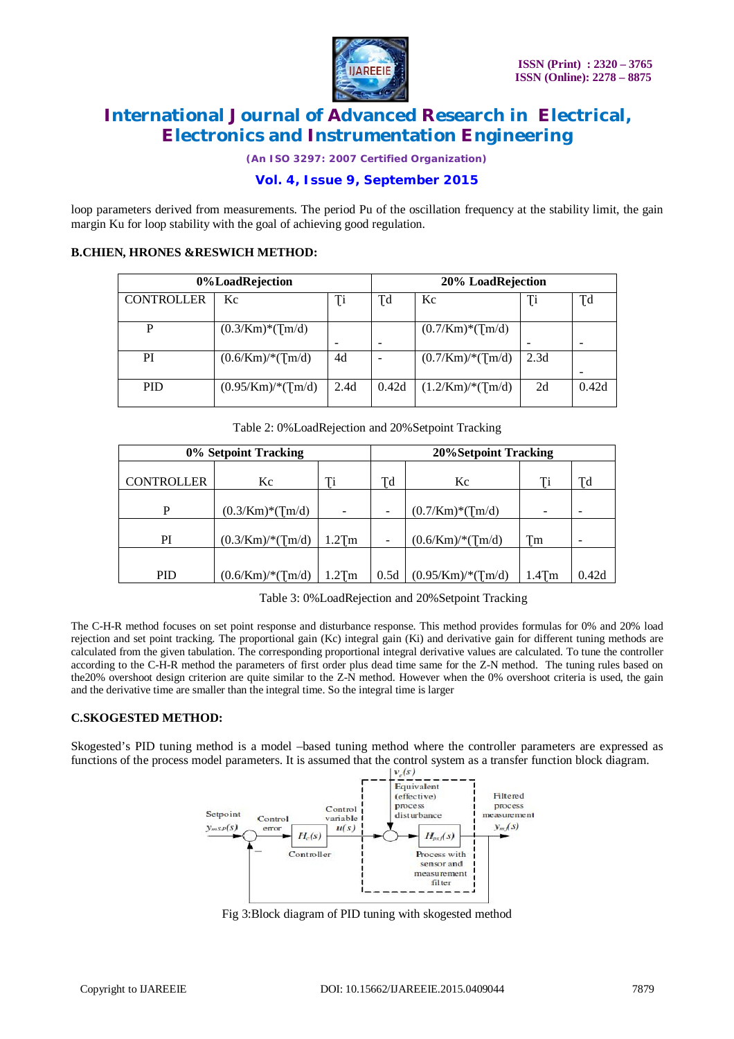

*(An ISO 3297: 2007 Certified Organization)*

### **Vol. 4, Issue 9, September 2015**

loop parameters derived from measurements. The period Pu of the oscillation frequency at the stability limit, the gain margin Ku for loop stability with the goal of achieving good regulation.

### **B.CHIEN, HRONES &RESWICH METHOD:**

| 0%LoadRejection   |                                  |           | 20% LoadRejection |                                     |      |           |  |
|-------------------|----------------------------------|-----------|-------------------|-------------------------------------|------|-----------|--|
| <b>CONTROLLER</b> | Kc                               | <b>Ti</b> | Ţd                | Kc                                  | Ţi   | <b>Td</b> |  |
| P                 | $(0.3/\text{Km})^*(\text{Im}/d)$ |           |                   | $(0.7/\text{Km})*(\text{Im}/d)$     |      |           |  |
| PI                | $(0.6/\text{Km})$ /*(Tm/d)       | 4d        |                   | $(0.7/\text{Km})$ /* $(\text{m/d})$ | 2.3d |           |  |
| <b>PID</b>        | $(0.95/Km)$ /* $(Tm/d)$          | 2.4d      | 0.42d             | $(1.2/\text{Km})$ /*(Tm/d)          | 2d   | 0.42d     |  |

Table 2: 0%LoadRejection and 20%Setpoint Tracking

| 0% Setpoint Tracking |                                 |          | <b>20%Setpoint Tracking</b> |                                 |          |       |  |
|----------------------|---------------------------------|----------|-----------------------------|---------------------------------|----------|-------|--|
| <b>CONTROLLER</b>    | Kc                              | Ti       | Td                          | Kc                              | Ti       | Td    |  |
| P                    | $(0.3/\text{Km})*(\text{Im}/d)$ |          |                             | $(0.7/\text{Km})*(\text{Im}/d)$ | -        |       |  |
| PI                   | $(0.3/\mathrm{Km})$ /*(Tm/d)    | $1.2$ Tm | -                           | $(0.6/\mathrm{Km})$ /*(Tm/d)    | Tm       |       |  |
| <b>PID</b>           | $(0.6/\text{Km})$ /*(Tm/d)      | $1.2$ Tm | 0.5d                        | $(0.95/Km)$ /*(Tm/d)            | $1.4$ Tm | 0.42d |  |

Table 3: 0%LoadRejection and 20%Setpoint Tracking

The C-H-R method focuses on set point response and disturbance response. This method provides formulas for 0% and 20% load rejection and set point tracking. The proportional gain (Kc) integral gain (Ki) and derivative gain for different tuning methods are calculated from the given tabulation. The corresponding proportional integral derivative values are calculated. To tune the controller according to the C-H-R method the parameters of first order plus dead time same for the Z-N method. The tuning rules based on the20% overshoot design criterion are quite similar to the Z-N method. However when the 0% overshoot criteria is used, the gain and the derivative time are smaller than the integral time. So the integral time is larger

### **C.SKOGESTED METHOD:**

Skogested's PID tuning method is a model –based tuning method where the controller parameters are expressed as functions of the process model parameters. It is assumed that the control system as a transfer function block diagram.



Fig 3:Block diagram of PID tuning with skogested method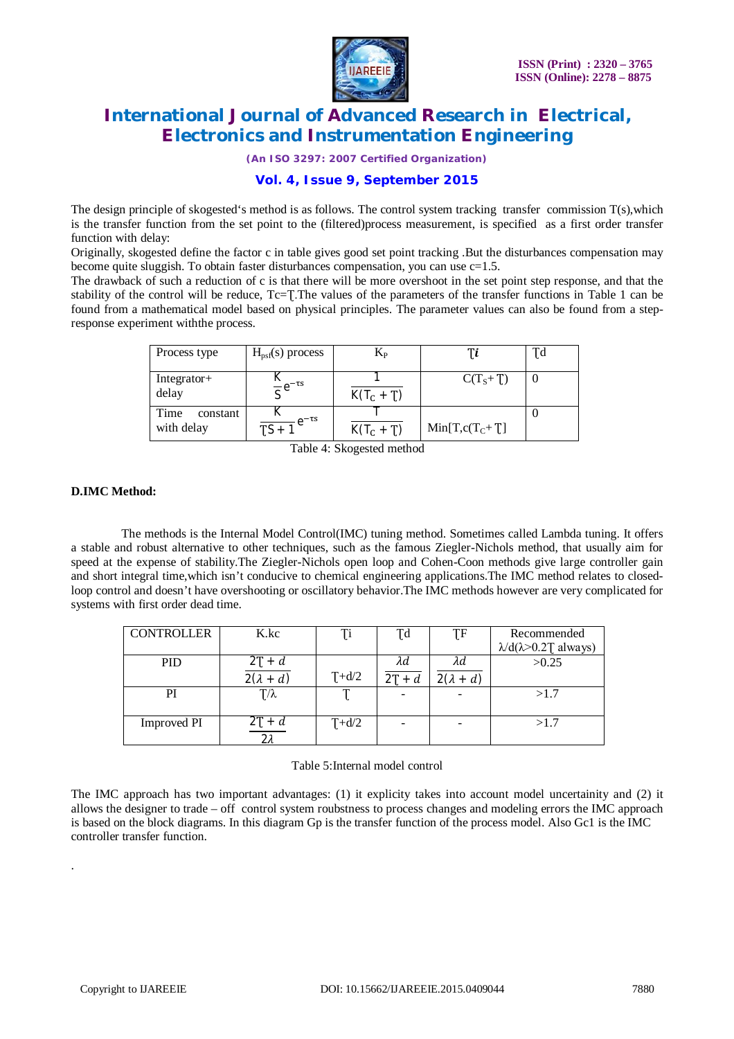

*(An ISO 3297: 2007 Certified Organization)*

### **Vol. 4, Issue 9, September 2015**

The design principle of skogested's method is as follows. The control system tracking transfer commission T(s),which is the transfer function from the set point to the (filtered)process measurement, is specified as a first order transfer function with delay:

Originally, skogested define the factor c in table gives good set point tracking .But the disturbances compensation may become quite sluggish. To obtain faster disturbances compensation, you can use  $c=1.5$ .

The drawback of such a reduction of c is that there will be more overshoot in the set point step response, and that the stability of the control will be reduce, Tc=T. The values of the parameters of the transfer functions in Table 1 can be found from a mathematical model based on physical principles. The parameter values can also be found from a stepresponse experiment withthe process.

| Process type                   | $H_{\text{psf}}(s)$ process | $\rm K_{\rm P}$ |                    | Ţd |
|--------------------------------|-----------------------------|-----------------|--------------------|----|
| Integrator+<br>delay           | $\frac{R}{c}e^{-\tau s}$    | $K(T_C + T)$    | $C(TS+T)$          |    |
| Time<br>constant<br>with delay | $\frac{1}{TS+1}e^{-\tau s}$ | $K(T_c + T)$    | $Min[T, c(T_C+T)]$ |    |

Table 4: Skogested method

### **D.IMC Method:**

 The methods is the Internal Model Control(IMC) tuning method. Sometimes called Lambda tuning. It offers a stable and robust alternative to other techniques, such as the famous Ziegler-Nichols method, that usually aim for speed at the expense of stability.The Ziegler-Nichols open loop and Cohen-Coon methods give large controller gain and short integral time,which isn't conducive to chemical engineering applications.The IMC method relates to closedloop control and doesn't have overshooting or oscillatory behavior.The IMC methods however are very complicated for systems with first order dead time.

| <b>CONTROLLER</b>  | K.kc             | Ti      | Td       | ŢF               | Recommended                           |
|--------------------|------------------|---------|----------|------------------|---------------------------------------|
|                    |                  |         |          |                  | $\lambda$ /d( $\lambda$ >0.2T always) |
| <b>PID</b>         | $2T + d$         |         | λd       | λd               | >0.25                                 |
|                    | $2(\lambda + d)$ | $T+d/2$ | $2T + d$ | $2(\lambda + d)$ |                                       |
| PI                 | $T/\lambda$      |         |          |                  | >1.7                                  |
|                    |                  |         |          |                  |                                       |
| <b>Improved PI</b> |                  | $T+d/2$ |          |                  | >1.7                                  |
|                    | ∩ ′              |         |          |                  |                                       |

#### Table 5:Internal model control

The IMC approach has two important advantages: (1) it explicity takes into account model uncertainity and (2) it allows the designer to trade – off control system roubstness to process changes and modeling errors the IMC approach is based on the block diagrams. In this diagram Gp is the transfer function of the process model. Also Gc1 is the IMC controller transfer function.

.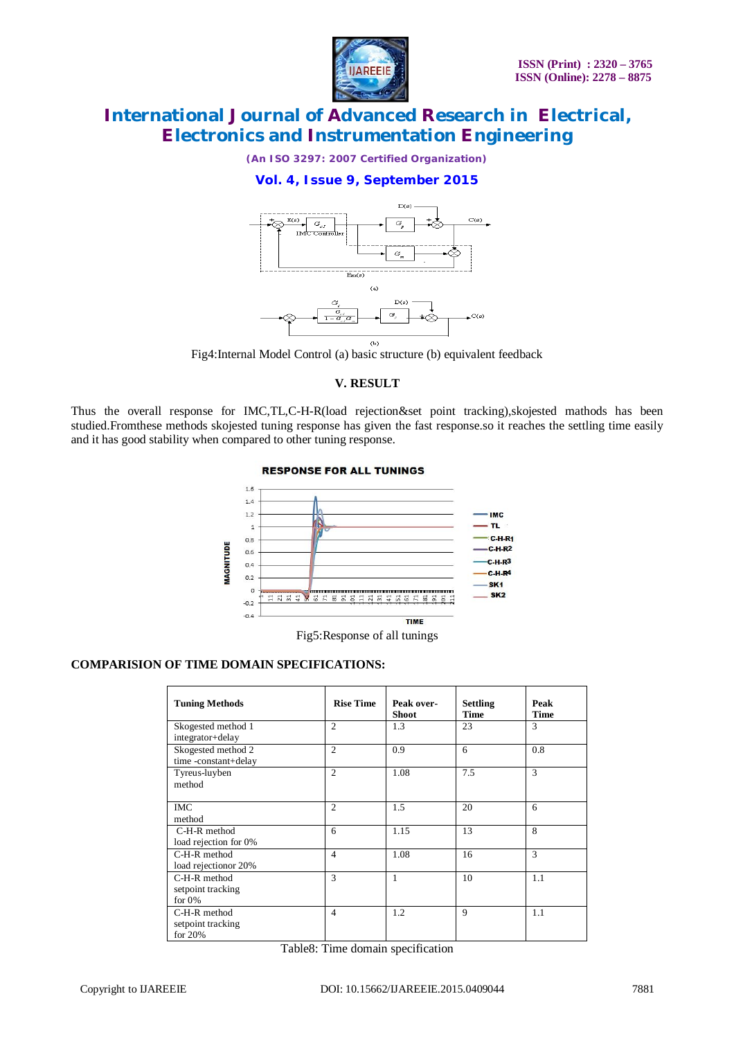

*(An ISO 3297: 2007 Certified Organization)*

## **Vol. 4, Issue 9, September 2015**



Fig4:Internal Model Control (a) basic structure (b) equivalent feedback

### **V. RESULT**

Thus the overall response for IMC,TL,C-H-R(load rejection&set point tracking),skojested mathods has been studied.Fromthese methods skojested tuning response has given the fast response.so it reaches the settling time easily and it has good stability when compared to other tuning response.

#### **RESPONSE FOR ALL TUNINGS**



Fig5:Response of all tunings

### **COMPARISION OF TIME DOMAIN SPECIFICATIONS:**

| <b>Tuning Methods</b>                            | <b>Rise Time</b> | Peak over-<br>Shoot | <b>Settling</b><br><b>Time</b> | Peak<br><b>Time</b> |
|--------------------------------------------------|------------------|---------------------|--------------------------------|---------------------|
| Skogested method 1<br>integrator+delay           | $\overline{c}$   | 1.3                 | 23                             | 3                   |
| Skogested method 2<br>time -constant+delay       | $\overline{c}$   | 0.9                 | 6                              | 0.8                 |
| Tyreus-luyben<br>method                          | $\overline{c}$   | 1.08                | 7.5                            | 3                   |
| <b>IMC</b><br>method                             | $\overline{c}$   | 1.5                 | 20                             | 6                   |
| C-H-R method<br>load rejection for 0%            | 6                | 1.15                | 13                             | 8                   |
| C-H-R method<br>load rejection or 20%            | $\overline{4}$   | 1.08                | 16                             | 3                   |
| $C-H-R$ method<br>setpoint tracking<br>for $0\%$ | 3                | 1                   | 10                             | 1.1                 |
| $C-H-R$ method<br>setpoint tracking<br>for $20%$ | $\overline{4}$   | 1.2                 | $\mathbf Q$                    | 1.1                 |

Table8: Time domain specification